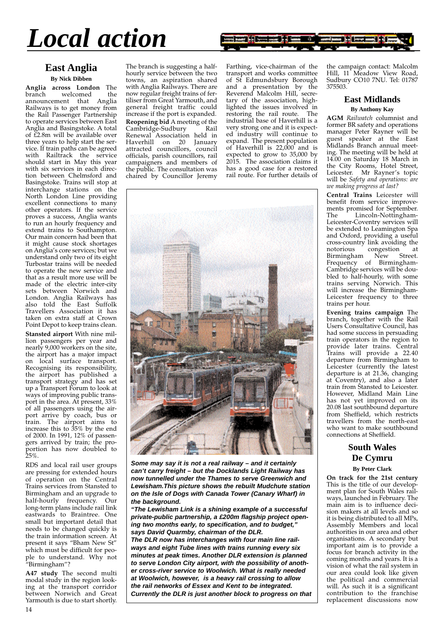*Local action*



# **East Anglia**

**By Nick Dibben**

**Anglia across London** The welcomed announcement that Anglia Railways is to get money from the Rail Passenger Partnership to operate services between East Anglia and Basingstoke. A total of £2.8m will be available over three years to help start the service. If train paths can be agreed with Railtrack the service should start in May this year with six services in each direction between Chelmsford and Basingstoke. Trains will stop at interchange stations on the North London Line providing excellent connections to many other operators. If the service proves a success, Anglia wants to run an hourly frequency and extend trains to Southampton. Our main concern had been that it might cause stock shortages on Anglia's core services; but we understand only two of its eight Turbostar trains will be needed to operate the new service and that as a result more use will be made of the electric inter-city sets between Norwich and London. Anglia Railways has also told the East Suffolk Travellers Association it has taken on extra staff at Crown Point Depot to keep trains clean.

**Stansted airport** With nine million passengers per year and nearly 9,000 workers on the site, the airport has a major impact on local surface transport. Recognising its responsibility, the airport has published a transport strategy and has set up a Transport Forum to look at ways of improving public transport in the area. At present, 33% of all passengers using the airport arrive by coach, bus or train. The airport aims to increase this to 35% by the end of 2000. In 1991, 12% of passengers arrived by train; the proportion has now doubled to 25%.

RDS and local rail user groups are pressing for extended hours of operation on the Central Trains services from Stansted to Birmingham and an upgrade to half-hourly frequency. Our long-term plans include rail link eastwards to Braintree. One small but important detail that needs to be changed quickly is the train information screen. At present it says "Bham New St" which must be difficult for people to understand. Why not "Birmingham"?

**A47 study** The second multi modal study in the region looking at the transport corridor between Norwich and Great Yarmouth is due to start shortly.

The branch is suggesting a halfhourly service between the two towns, an aspiration shared with Anglia Railways. There are now regular freight trains of fertiliser from Great Yarmouth, and general freight traffic could increase if the port is expanded. **Reopening bid A meeting of the Cambridge-Sudbury Rail** Cambridge-Sudbury Renewal Association held in Haverhill on 20 January attracted councillors, council officials, parish councillors, rail campaigners and members of the public. The consultation was chaired by Councillor Jeremy Farthing, vice-chairman of the transport and works committee of St Edmundsbury Borough and a presentation by the Reverend Malcolm Hill, secretary of the association, highlighted the issues involved in restoring the rail route. The industrial base of Haverhill is a very strong one and it is expected industry will continue to expand. The present population of Haverhill is 22,000 and is expected to grow to 35,000 by 2015. The association claims it has a good case for a restored rail route. For further details of



**Some may say it is not a real railway – and it certainly can't carry freight – but the Docklands Light Railway has now tunnelled under the Thames to serve Greenwich and Lewisham.This picture shows the rebuilt Mudchute station on the Isle of Dogs with Canada Tower (Canary Wharf) in the background.**

**"The Lewisham Link is a shining example of a successful private-public partnership, a £200m flagship project opening two months early, to specification, and to budget," says David Quarmby, chairman of the DLR. The DLR now has interchanges with four main line railways and eight Tube lines with trains running every six minutes at peak times. Another DLR extension is planned to serve London City airport, with the possibility of another cross-river service to Woolwich. What is really needed at Woolwich, however, is a heavy rail crossing to allow the rail networks of Essex and Kent to be integrated. Currently the DLR is just another block to progress on that**

the campaign contact: Malcolm Hill, 11 Meadow View Road, Sudbury CO10 7NU. Tel: 01787 375503.

#### **East Midlands By Anthony Kay**

**AGM** *Railwatch* columnist and former BR safety and operations manager Peter Rayner will be guest speaker at the East Midlands Branch annual meeting. The meeting will be held at 14.00 on Saturday 18 March in the City Rooms, Hotel Street, Leicester. Mr Rayner's topic will be *Safety and operations: are we making progress at last?*

**Central Trains** Leicester will benefit from service improvements promised for September.<br>The Lincoln-Nottingham-Lincoln-Nottingham-Leicester-Coventry services will be extended to Leamington Spa and Oxford, providing a useful cross-country link avoiding the<br>notorious congestion at notorious congestion at Birmingham New Street. Frequency of Birmingham-Cambridge services will be doubled to half-hourly, with some trains serving Norwich. This will increase the Birmingham-Leicester frequency to three trains per hour.

**Evening trains campaign** The branch, together with the Rail Users Consultative Council, has had some success in persuading train operators in the region to provide later trains. Central Trains will provide a 22.40 departure from Birmingham to Leicester (currently the latest departure is at 21.36, changing at Coventry), and also a later train from Stansted to Leicester. However, Midland Main Line has not yet improved on its 20.08 last southbound departure from Sheffield, which restricts travellers from the north-east who want to make southbound connections at Sheffield.

#### **South Wales De Cymru By Peter Clark**

**On track for the 21st century** This is the title of our development plan for South Wales railways, launched in February. The main aim is to influence decision makers at all levels and so it is being distributed to all MPs, Assembly Members and local authorities in our area and other organisations. A secondary but important aim is to provide a focus for branch activity in the coming months and years. It is a vision of what the rail system in our area could look like given the political and commercial will. As such it is a significant contribution to the franchise replacement discussions now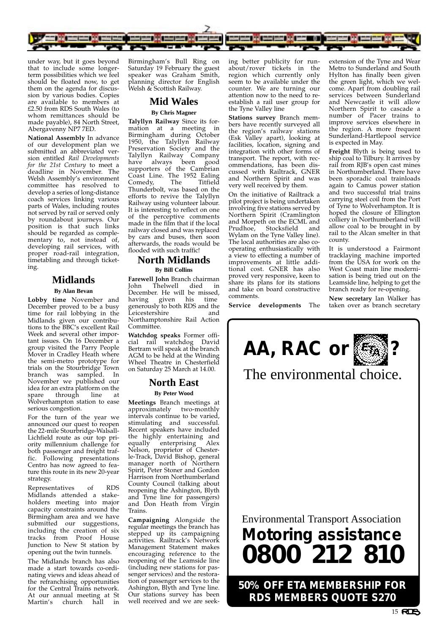

under way, but it goes beyond that to include some longerterm possibilities which we feel should be floated now, to get them on the agenda for discussion by various bodies. Copies are available to members at £2.50 from RDS South Wales (to whom remittances should be made payable), 84 North Street, Abergavenny NP7 7ED.

**National Assembly** In advance of our development plan we submitted an abbreviated version entitled *Rail Developments for the 21st Century* to meet a deadline in November. The Welsh Assembly's environment committee has resolved to develop a series of long-distance coach services linking various parts of Wales, including routes not served by rail or served only by roundabout journeys. Our position is that such links should be regarded as complementary to, not instead of, developing rail services, with proper road-rail integration, timetabling and through ticketing.

# **Midlands**

**By Alan Bevan**

**Lobby time** November and December proved to be a busy time for rail lobbying in the Midlands given our contributions to the BBC's excellent Rail Week and several other important issues. On 16 December a group visited the Parry People Mover in Cradley Heath where the semi-metro prototype for trials on the Stourbridge Town branch was sampled. In November we published our idea for an extra platform on the<br>spare through line at spare through Wolverhampton station to ease serious congestion.

For the turn of the year we announced our quest to reopen the 22-mile Stourbridge-Walsall-Lichfield route as our top priority millennium challenge for both passenger and freight traffic. Following presentations Centro has now agreed to feature this route in its new 20-year strategy.

Representatives of RDS Midlands attended a stakeholders meeting into major capacity constraints around the Birmingham area and we have submitted our suggestions, including the creation of six tracks from Proof House Junction to New St station by opening out the twin tunnels.

The Midlands branch has also made a start towards co-ordinating views and ideas ahead of the refranchising opportunities for the Central Trains network. At our annual meeting at St Martin's church hall in

Birmingham's Bull Ring on Saturday 19 February the guest speaker was Graham Smith, planning director for English Welsh & Scottish Railway.

# **Mid Wales**

#### **By Chris Magner**

**Talyllyn Railway** Since its formation at a meeting in Birmingham during October 1950, the Talyllyn Railway Preservation Society and the Talyllyn Railway Company have always been good supporters of the Cambrian Coast Line. The 1952 Ealing<br>Comedy The Titfield  $Comedy$ Thunderbolt, was based on the efforts to revive the Talyllyn Railway using volunteer labour. It is interesting to reflect on one of the perceptive comments made in the film that if the local railway closed and was replaced by cars and buses, then soon afterwards, the roads would be flooded with such traffic!

#### **North Midlands By Bill Collins**

**Farewell John Branch chairman**<br>John Thelwell died in John Thelwell December. He will be missed, having given his time generously to both RDS and the Leicestershire and Northamptonshire Rail Action Committée.

**Watchdog speaks** Former official rail watchdog David Bertram will speak at the branch AGM to be held at the Winding Wheel Theatre in Chesterfield on Saturday 25 March at 14.00.

# **North East**

**By Peter Wood**

**Meetings** Branch meetings at approximately two-monthly intervals continue to be varied, stimulating and successful. Recent speakers have included the highly entertaining and equally enterprising Alex Nelson, proprietor of Chesterle-Track, David Bishop, general manager north of Northern Spirit, Peter Stoner and Gordon Harrison from Northumberland County Council (talking about reopening the Ashington, Blyth and Tyne line for passengers) and Don Heath from Virgin Trains.

**Campaigning** Alongside the regular meetings the branch has stepped up its campaigning activities. Railtrack's Network Management Statement makes encouraging reference to the reopening of the Leamside line (including new stations for passenger services) and the restoration of passenger services to the Ashington, Blyth and Tyne line. Our stations survey has been well received and we are seek-

ing better publicity for runabout/rover tickets in the region which currently only seem to be available under the counter. We are turning our attention now to the need to reestablish a rail user group for the Tyne Valley line

**Stations survey** Branch members have recently surveyed all the region's railway stations (Esk Valley apart), looking at facilities, location, signing and integration with other forms of transport. The report, with recommendations, has been discussed with Railtrack, GNER and Northern Spirit and was very well received by them.

On the initiative of Railtrack a pilot project is being undertaken involving five stations served by Northern Spirit (Cramlington and Morpeth on the ECML and<br>Prudhoe. Stocksfield and Prudhoe, Stocksfield Wylam on the Tyne Valley line). The local authorities are also cooperating enthusiastically with a view to effecting a number of improvements at little additional cost. GNER has also proved very responsive, keen to share its plans for its stations and take on board constructive comments.

**Service developments** The

extension of the Tyne and Wear Metro to Sunderland and South Hylton has finally been given the green light, which we welcome. Apart from doubling rail services between Sunderland and Newcastle it will allow Northern Spirit to cascade a number of Pacer trains to improve services elsewhere in the region. A more frequent Sunderland-Hartlepool service is expected in May.

**Freight** Blyth is being used to ship coal to Tilbury. It arrives by rail from RIB's open cast mines in Northumberland. There have been sporadic coal trainloads again to Camus power station and two successful trial trains carrying steel coil from the Port of Tyne to Wolverhampton. It is hoped the closure of Ellington colliery in Northumberland will allow coal to be brought in by rail to the Alcan smelter in that county.

It is understood a Fairmont tracklaying machine imported from the USA for work on the West Coast main line modernisation is being tried out on the Leamside line, helping to get the branch ready for re-opening.

**New secretary** Ian Walker has taken over as branch secretary

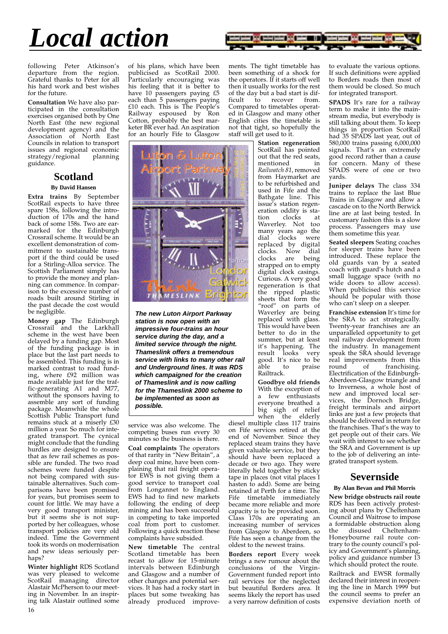# *Local action*



following Peter Atkinson's departure from the region. Grateful thanks to Peter for all his hard work and best wishes for the future.

**Consultation** We have also participated in the consultation exercises organised both by One North East (the new regional development agency) and the Association of North East Councils in relation to transport issues and regional economic<br>strategy/regional planning strategy/regional guidance.

# **Scotland**

#### **By David Hansen**

**Extra trains** By September ScotRail expects to have three spare 158s, following the introduction of 170s and the hand back of some 158s. Two are earmarked for the Edinburgh Crossrail scheme. It would be an excellent demonstration of commitment to sustainable transport if the third could be used for a Stirling-Alloa service. The Scottish Parliament simply has to provide the money and planning can commence. In comparison to the excessive number of roads built around Stirling in the past decade the cost would be negligible.

**Money gap** The Edinburgh Crossrail and the Larkhall scheme in the west have been delayed by a funding gap. Most of the funding package is in place but the last part needs to be assembled. This funding is in marked contrast to road funding, where £92 million was made available just for the traffic-generating A1 and M77, without the sponsors having to assemble any sort of funding package. Meanwhile the whole Scottish Public Transport fund remains stuck at a miserly £30 million a year. So much for integrated transport. The cynical might conclude that the funding hurdles are designed to ensure that as few rail schemes as possible are funded. The two road schemes were funded despite not being compared with sustainable alternatives. Such comparisons have been promised for years, but promises seem to count for little. We may have a very good transport minister, but it seems she is not supported by her colleagues, whose transport policies are very old indeed. Time the Government took its words on modernisation and new ideas seriously perhaps?

**Winter highlight** RDS Scotland was very pleased to welcome ScotRail managing director Alastair McPherson to our meeting in November. In an inspiring talk Alastair outlined some 16

of his plans, which have been publicised as ScotRail 2000. Particularly encouraging was his feeling that it is better to have 10 passengers paying £5 each than 5 passengers paying £10 each. This is The People's Railway espoused by Ron Cotton, probably the best marketer BR ever had. An aspiration for an hourly Fife to Glasgow



**The new Luton Airport Parkway station is now open with an impressive four-trains an hour service during the day, and a limited service through the night. Thameslink offers a tremendous service with links to many other rail and Underground lines. It was RDS which campaigned for the creation of Thameslink and is now calling for the Thameslink 2000 scheme to be implemented as soon as possible.**

service was also welcome. The competing buses run every 30 minutes so the business is there.

**Coal complaints** The operators of that rarity in "New Britain", a deep coal mine, have been complaining that rail freight operator EWS is not giving them a good service to transport coal from Longannet to England. EWS had to find new markets following the ending of deep mining and has been successful in competing to take imported coal from port to customer. Following a quick reaction these complaints have subsided.

**New timetable** The central Scotland timetable has been recast to allow for 15-minute intervals between Edinburgh and Glasgow and a number of other changes and potential services. It has had a rocky start in places but some tweaking has already produced improvements. The tight timetable has been something of a shock for the operators. If it starts off well then it usually works for the rest of the day but a bad start is difficult to recover from ficult to recover Compared to timetables operated in Glasgow and many other English cities the timetable is not that tight, so hopefully the staff will get used to it.

> **Station regeneration** ScotRail has pointed out that the red seats, mentioned in *Railwatch 81*, removed from Haymarket are to be refurbished and used in Fife and the Bathgate line. This issue's station regeneration oddity is sta-<br>tion clocks at tion clocks Waverley. Not too many years ago the<br>dial clocks were dial clocks replaced by digital clocks. Now dial clocks are being are being strapped on to empty digital clock casings. Curious. A very good regeneration is that the ripped plastic sheets that form the "roof" on parts of Waverley are being replaced with glass. This would have been better to do in the summer, but at least it's happening. The result looks very good. It's nice to be<br>able to praise  $\frac{6}{9}$ hle to Railtrack.

**Goodbye old friends** With the exception of a few enthusiasts everyone breathed a big sigh of relief when the elderly

diesel multiple class 117 trains on Fife services retired at the end of November. Since they replaced steam trains they have given valuable service, but they should have been replaced a decade or two ago. They were literally held together by sticky tape in places (not vital places I hasten to add). Some are being retained at Perth for a time. The Fife timetable immediately became more reliable and more capacity is to be provided soon. Class 170s are operating an increasing number of services from Glasgow to Aberdeen, so Fife has seen a change from the oldest to the newest trains.

**Borders report** Every week brings a new rumour about the conclusions of the Virgin-Government funded report into rail services for the neglected but beautiful Borders area. It seems likely the report has used a very narrow definition of costs to evaluate the various options. If such definitions were applied to Borders roads then most of them would be closed. So much for integrated transport.

**SPADS** It's rare for a railway term to make it into the mainstream media, but everybody is still talking about them. To keep things in proportion ScotRail had 35 SPADS last year, out of 580,000 trains passing 6,000,000 signals. That's an extremely good record rather than a cause for concern. Many of these SPADS were of one or two yards.

**Juniper delays** The class 334 trains to replace the last Blue Trains in Glasgow and allow a cascade on to the North Berwick line are at last being tested. In customary fashion this is a slow process. Passengers may use them sometime this year.

**Seated sleepers** Seating coaches for sleeper trains have been introduced. These replace the old guards van by a seated coach with guard's hutch and a small luggage space (with no wide doors to allow access). When publicised this service should be popular with those who can't sleep on a sleeper.

**Franchise extension** It's time for the SRA to act strategically. Twenty-year franchises are an unparalleled opportunity to get real railway development from the industry. In management speak the SRA should leverage real improvements from this<br>round of franchising franchising. Electrification of the Edinburgh-Aberdeen-Glasgow triangle and to Inverness, a whole host of new and improved local services, the Dornoch Bridge, freight terminals and airport links are just a few projects that should be delivered in return for the franchises. That's the way to get people out of their cars. We wait with interest to see whether the SRA and Government is up to the job of delivering an integrated transport system.

## **Severnside**

#### **By Alan Bevan and Phil Morris**

**New bridge obstructs rail route** RDS has been actively protesting about plans by Cheltenham Council and Waitrose to impose a formidable obstruction along the disused Cheltenham-Honeybourne rail route contrary to the county council's policy and Government's planning, policy and guidance number 13 which should protect the route.

Railtrack and EWSR formally declared their interest in reopening the line in March 1999 but the council seems to prefer an expensive deviation north of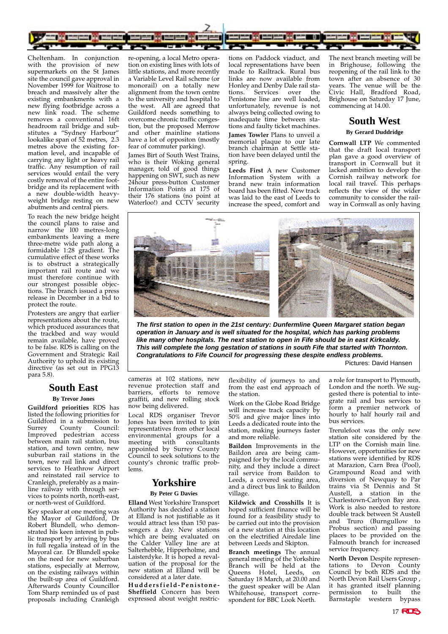

Cheltenham. In conjunction with the provision of new supermarkets on the St James site the council gave approval in November 1999 for Waitrose to breach and massively alter the existing embankments with a new flying footbridge across a new link road. The scheme removes a conventional 16ft headroom rail bridge and substitutes a "Sydney Harbour" lookalike span of 52 metres, 2.3 metres above the existing formation level, and incapable of carrying any light or heavy rail traffic. Any resumption of rail services would entail the very costly removal of the entire footbridge and its replacement with a new double-width heavyweight bridge resting on new abutments and central piers.

To reach the new bridge height the council plans to raise and narrow the 100 metres-long embankments leaving a mere three-metre wide path along a formidable 1:28 gradient. The cumulative effect of these works is to obstruct a strategically important rail route and we must therefore continue with our strongest possible objections. The branch issued a press release in December in a bid to protect the route.

Protesters are angry that earlier representations about the route, which produced assurances that the trackbed and way would remain available, have proved to be false. RDS is calling on the Government and Strategic Rail Authority to uphold its existing directive (as set out in PPG13 para 5.8).

### **South East By Trevor Jones**

**Guildford priorities** RDS has listed the following priorities for Guildford in a submission to<br>Surrey County Council: Surrey County Council: Improved pedestrian access between main rail station, bus station, and town centre, new suburban rail stations in the town, new rail link and direct services to Heathrow Airport and reinstated rail service to Cranleigh, preferably as a mainline railway with through services to points north, north-east, or north-west of Guildford.

Key speaker at one meeting was the Mayor of Guildford, Dr Robert Blundell, who demonstrated his keen interest in public transport by arriving by bus in full regalia instead of in the Mayoral car. Dr Blundell spoke on the need for new suburban stations, especially at Merrow, on the existing railways within the built-up area of Guildford. Afterwards County Councillor Tom Sharp reminded us of past proposals including Cranleigh

re-opening, a local Metro operation on existing lines with lots of little stations, and more recently a Variable Level Rail scheme (or monorail) on a totally new alignment from the town centre to the university and hospital to the west. All are agreed that Guildford needs something to overcome chronic traffic congestion, but the proposed Merrow and other mainline stations have a lot of oppositon (mostly fear of commuter parking).

James Birt of South West Trains, who is their Woking general manager, told of good things happening on SWT, such as new 24hour press-button Customer Information Points at 175 of their 176 stations (no point at Waterloo!) and CCTV security

tions on Paddock viaduct, and local representations have been made to Railtrack. Rural bus links are now available from Honley and Denby Dale rail stations. Services over the Penistone line are well loaded, unfortunately, revenue is not always being collected owing to inadequate time between stations and faulty ticket machines.

**James Towler** Plans to unveil a memorial plaque to our late branch chairman at Settle station have been delayed until the spring.

**Leeds First** A new Customer Information System with a brand new train information board has been fitted. New track was laid to the east of Leeds to increase the speed, comfort and The next branch meeting will be in Brighouse, following the reopening of the rail link to the town after an absence of 30 years. The venue will be the Civic Hall, Bradford Road, Brighouse on Saturday 17 June, commencing at 14.00.

## **South West By Gerard Duddridge**

**Cornwall LTP** We commented that the draft local transport plan gave a good overview of transport in Cornwall but it lacked ambition to develop the Cornish railway network for local rail travel. This perhaps reflects the view of the wider community to consider the railway in Cornwall as only having



**The first station to open in the 21st century: Dunfermline Queen Margaret station began operation in January and is well situated for the hospital, which has parking problems like many other hospitals. The next station to open in Fife should be in east Kirkcaldy. This will complete the long gestation of stations in south Fife that started with Thornton. Congratulations to Fife Council for progressing these despite endless problems.**  Pictures: David Hansen

cameras at 102 stations, new revenue protection staff and barriers, efforts to remove graffiti, and new rolling stock now being delivered.

Local RDS organiser Trevor Jones has been invited to join representatives from other local environmental groups for a meeting with consultants appointed by Surrey County Council to seek solutions to the county's chronic traffic problems.

# **Yorkshire**

#### **By Peter G Davies**

**Elland** West Yorkshire Transport Authority has decided a station at Elland is not justifiable as it would attract less than 150 passengers a day. New stations which are being evaluated on the Calder Valley line are at Salterhebble, Hipperholme, and Laisterdyke. It is hoped a revaluation of the proposal for the new station at Elland will be considered at a later date.

**Huddersfield-Penistone-Sheffield** Concern has been expressed about weight restricflexibility of journeys to and from the east end approach of the station.

Work on the Globe Road Bridge will increase track capacity by 50% and give major lines into Leeds a dedicated route into the station, making journeys faster and more reliable.

**Baildon** Improvements in the Baildon area are being campaigned for by the local community, and they include a direct rail service from Baildon to Leeds, a covered seating area, and a direct bus link to Baildon village.

**Kildwick and Crosshills** It is hoped sufficient finance will be found for a feasibility study to be carried out into the provision of a new station at this location on the electrified Airedale line between Leeds and Skipton.

**Branch meetings** The annual general meeting of the Yorkshire Branch will be held at the Queens Hotel, Leeds, on Saturday 18 March, at 20.00 and the guest speaker will be Alan Whitehouse, transport correspondent for BBC Look North.

a role for transport to Plymouth, London and the north. We suggested there is potential to integrate rail and bus services to form a premier network of hourly to half hourly rail and bus services.

Trerulefoot was the only new station site considered by the LTP on the Cornish main line. However, opportunities for new stations were identified by RDS at Marazion, Carn Brea (Pool), Grampound Road and with diversion of Newquay to Par trains via St Dennis and St Austell, a station in the Charlestown-Carlyon Bay area. Work is also needed to restore double track between St Austell and Truro (Burngullow to Probus section) and passing places to be provided on the Falmouth branch for increased service frequency.

**North Devon** Despite representations to Devon County Council by both RDS and the North Devon Rail Users Group , it has granted itself planning<br>permission to built the to built the Barnstaple western bypass